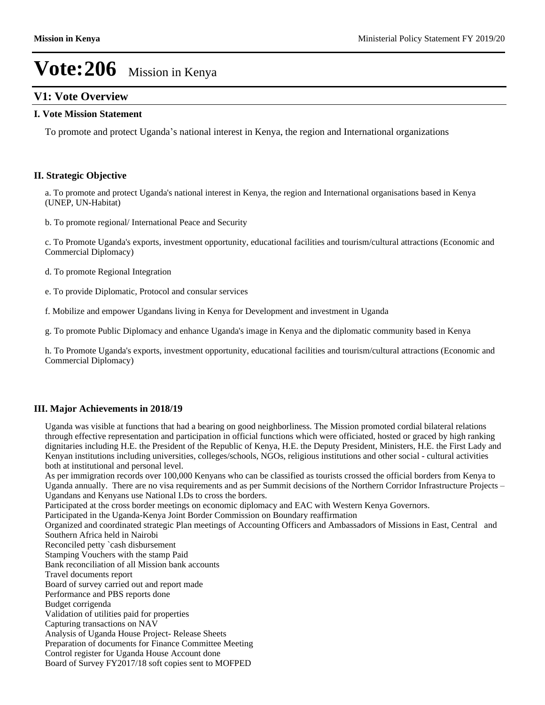# **V1: Vote Overview**

#### **I. Vote Mission Statement**

To promote and protect Uganda's national interest in Kenya, the region and International organizations

### **II. Strategic Objective**

a. To promote and protect Uganda's national interest in Kenya, the region and International organisations based in Kenya (UNEP, UN-Habitat)

b. To promote regional/ International Peace and Security

c. To Promote Uganda's exports, investment opportunity, educational facilities and tourism/cultural attractions (Economic and Commercial Diplomacy)

- d. To promote Regional Integration
- e. To provide Diplomatic, Protocol and consular services

f. Mobilize and empower Ugandans living in Kenya for Development and investment in Uganda

g. To promote Public Diplomacy and enhance Uganda's image in Kenya and the diplomatic community based in Kenya

h. To Promote Uganda's exports, investment opportunity, educational facilities and tourism/cultural attractions (Economic and Commercial Diplomacy)

# **III. Major Achievements in 2018/19**

Uganda was visible at functions that had a bearing on good neighborliness. The Mission promoted cordial bilateral relations through effective representation and participation in official functions which were officiated, hosted or graced by high ranking dignitaries including H.E. the President of the Republic of Kenya, H.E. the Deputy President, Ministers, H.E. the First Lady and Kenyan institutions including universities, colleges/schools, NGOs, religious institutions and other social - cultural activities both at institutional and personal level.

As per immigration records over 100,000 Kenyans who can be classified as tourists crossed the official borders from Kenya to Uganda annually. There are no visa requirements and as per Summit decisions of the Northern Corridor Infrastructure Projects  $-$ Ugandans and Kenyans use National I.Ds to cross the borders.

Participated at the cross border meetings on economic diplomacy and EAC with Western Kenya Governors.

Participated in the Uganda-Kenya Joint Border Commission on Boundary reaffirmation

Organized and coordinated strategic Plan meetings of Accounting Officers and Ambassadors of Missions in East, Central and Southern Africa held in Nairobi

- Reconciled petty `cash disbursement
- Stamping Vouchers with the stamp Paid
- Bank reconciliation of all Mission bank accounts
- Travel documents report

Board of survey carried out and report made

- Performance and PBS reports done
- Budget corrigenda

Validation of utilities paid for properties

- Capturing transactions on NAV
- Analysis of Uganda House Project- Release Sheets
- Preparation of documents for Finance Committee Meeting
- Control register for Uganda House Account done
- Board of Survey FY2017/18 soft copies sent to MOFPED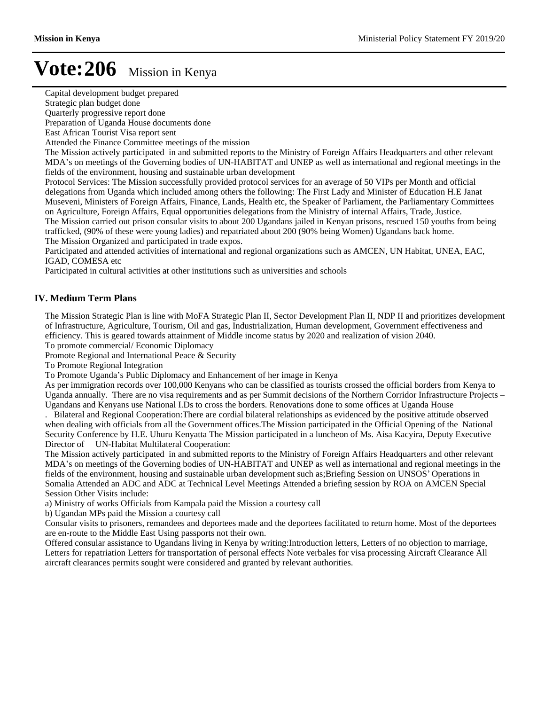Capital development budget prepared

Strategic plan budget done

Quarterly progressive report done

Preparation of Uganda House documents done

East African Tourist Visa report sent

Attended the Finance Committee meetings of the mission

The Mission actively participated in and submitted reports to the Ministry of Foreign Affairs Headquarters and other relevant MDA's on meetings of the Governing bodies of UN-HABITAT and UNEP as well as international and regional meetings in the fields of the environment, housing and sustainable urban development

Protocol Services: The Mission successfully provided protocol services for an average of 50 VIPs per Month and official delegations from Uganda which included among others the following: The First Lady and Minister of Education H.E Janat Museveni, Ministers of Foreign Affairs, Finance, Lands, Health etc, the Speaker of Parliament, the Parliamentary Committees on Agriculture, Foreign Affairs, Equal opportunities delegations from the Ministry of internal Affairs, Trade, Justice. The Mission carried out prison consular visits to about 200 Ugandans jailed in Kenyan prisons, rescued 150 youths from being trafficked, (90% of these were young ladies) and repatriated about 200 (90% being Women) Ugandans back home. The Mission Organized and participated in trade expos.

Participated and attended activities of international and regional organizations such as AMCEN, UN Habitat, UNEA, EAC, IGAD, COMESA etc

Participated in cultural activities at other institutions such as universities and schools

# **IV. Medium Term Plans**

The Mission Strategic Plan is line with MoFA Strategic Plan II, Sector Development Plan II, NDP II and prioritizes development of Infrastructure, Agriculture, Tourism, Oil and gas, Industrialization, Human development, Government effectiveness and efficiency. This is geared towards attainment of Middle income status by 2020 and realization of vision 2040.

To promote commercial/ Economic Diplomacy

Promote Regional and International Peace & Security

To Promote Regional Integration

To Promote Uganda's Public Diplomacy and Enhancement of her image in Kenya

As per immigration records over 100,000 Kenyans who can be classified as tourists crossed the official borders from Kenya to Uganda annually. There are no visa requirements and as per Summit decisions of the Northern Corridor Infrastructure Projects  $-$ Ugandans and Kenyans use National I.Ds to cross the borders. Renovations done to some offices at Uganda House

. Bilateral and Regional Cooperation:There are cordial bilateral relationships as evidenced by the positive attitude observed when dealing with officials from all the Government offices.The Mission participated in the Official Opening of the National Security Conference by H.E. Uhuru Kenyatta The Mission participated in a luncheon of Ms. Aisa Kacyira, Deputy Executive Director of UN-Habitat Multilateral Cooperation:

The Mission actively participated in and submitted reports to the Ministry of Foreign Affairs Headquarters and other relevant MDA's on meetings of the Governing bodies of UN-HABITAT and UNEP as well as international and regional meetings in the fields of the environment, housing and sustainable urban development such as;Briefing Session on UNSOS' Operations in Somalia Attended an ADC and ADC at Technical Level Meetings Attended a briefing session by ROA on AMCEN Special Session Other Visits include:

a) Ministry of works Officials from Kampala paid the Mission a courtesy call

b) Ugandan MPs paid the Mission a courtesy call

Consular visits to prisoners, remandees and deportees made and the deportees facilitated to return home. Most of the deportees are en-route to the Middle East Using passports not their own.

Offered consular assistance to Ugandans living in Kenya by writing:Introduction letters, Letters of no objection to marriage, Letters for repatriation Letters for transportation of personal effects Note verbales for visa processing Aircraft Clearance All aircraft clearances permits sought were considered and granted by relevant authorities.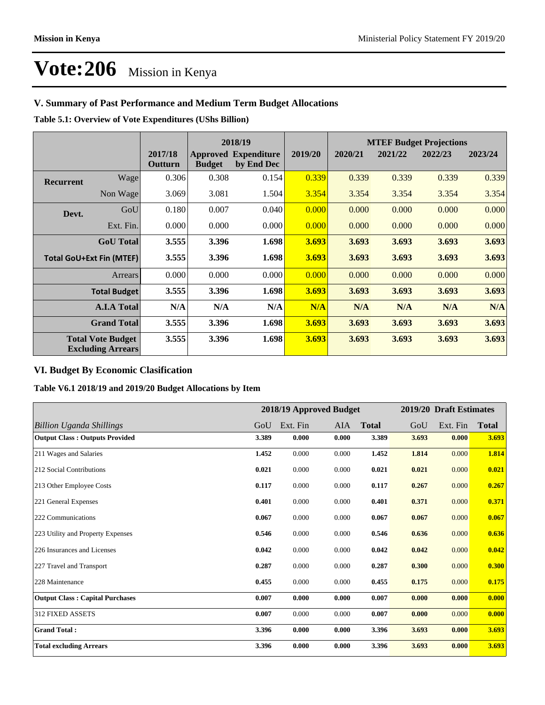# **V. Summary of Past Performance and Medium Term Budget Allocations**

**Table 5.1: Overview of Vote Expenditures (UShs Billion)**

|                                                      |                  |                    |               | 2018/19                                   |         | <b>MTEF Budget Projections</b> |         |         |         |
|------------------------------------------------------|------------------|--------------------|---------------|-------------------------------------------|---------|--------------------------------|---------|---------|---------|
|                                                      |                  | 2017/18<br>Outturn | <b>Budget</b> | <b>Approved Expenditure</b><br>by End Dec | 2019/20 | 2020/21                        | 2021/22 | 2022/23 | 2023/24 |
| <b>Recurrent</b>                                     | Wagel            | 0.306              | 0.308         | 0.154                                     | 0.339   | 0.339                          | 0.339   | 0.339   | 0.339   |
|                                                      | Non Wage         | 3.069              | 3.081         | 1.504                                     | 3.354   | 3.354                          | 3.354   | 3.354   | 3.354   |
| Devt.                                                | GoU              | 0.180              | 0.007         | 0.040                                     | 0.000   | 0.000                          | 0.000   | 0.000   | 0.000   |
|                                                      | Ext. Fin.        | 0.000              | 0.000         | 0.000                                     | 0.000   | 0.000                          | 0.000   | 0.000   | 0.000   |
|                                                      | <b>GoU</b> Total | 3.555              | 3.396         | 1.698                                     | 3.693   | 3.693                          | 3.693   | 3.693   | 3.693   |
| <b>Total GoU+Ext Fin (MTEF)</b>                      |                  | 3.555              | 3.396         | 1.698                                     | 3.693   | 3.693                          | 3.693   | 3.693   | 3.693   |
| Arrears                                              |                  | 0.000              | 0.000         | 0.000                                     | 0.000   | 0.000                          | 0.000   | 0.000   | 0.000   |
| <b>Total Budget</b>                                  |                  | 3.555              | 3.396         | 1.698                                     | 3.693   | 3.693                          | 3.693   | 3.693   | 3.693   |
| <b>A.I.A Total</b>                                   |                  | N/A                | N/A           | N/A                                       | N/A     | N/A                            | N/A     | N/A     | N/A     |
| <b>Grand Total</b>                                   |                  | 3.555              | 3.396         | 1.698                                     | 3.693   | 3.693                          | 3.693   | 3.693   | 3.693   |
| <b>Total Vote Budget</b><br><b>Excluding Arrears</b> |                  | 3.555              | 3.396         | 1.698                                     | 3.693   | 3.693                          | 3.693   | 3.693   | 3.693   |

# **VI. Budget By Economic Clasification**

**Table V6.1 2018/19 and 2019/20 Budget Allocations by Item**

|                                        |       | 2018/19 Approved Budget |       |              |       | 2019/20 Draft Estimates |              |
|----------------------------------------|-------|-------------------------|-------|--------------|-------|-------------------------|--------------|
| Billion Uganda Shillings               | GoU   | Ext. Fin                | AIA   | <b>Total</b> | GoU   | Ext. Fin                | <b>Total</b> |
| <b>Output Class: Outputs Provided</b>  | 3.389 | 0.000                   | 0.000 | 3.389        | 3.693 | 0.000                   | 3.693        |
| 211 Wages and Salaries                 | 1.452 | 0.000                   | 0.000 | 1.452        | 1.814 | 0.000                   | 1.814        |
| 212 Social Contributions               | 0.021 | 0.000                   | 0.000 | 0.021        | 0.021 | 0.000                   | 0.021        |
| 213 Other Employee Costs               | 0.117 | 0.000                   | 0.000 | 0.117        | 0.267 | 0.000                   | 0.267        |
| 221 General Expenses                   | 0.401 | 0.000                   | 0.000 | 0.401        | 0.371 | 0.000                   | 0.371        |
| 222 Communications                     | 0.067 | 0.000                   | 0.000 | 0.067        | 0.067 | 0.000                   | 0.067        |
| 223 Utility and Property Expenses      | 0.546 | 0.000                   | 0.000 | 0.546        | 0.636 | 0.000                   | 0.636        |
| 226 Insurances and Licenses            | 0.042 | 0.000                   | 0.000 | 0.042        | 0.042 | 0.000                   | 0.042        |
| 227 Travel and Transport               | 0.287 | 0.000                   | 0.000 | 0.287        | 0.300 | 0.000                   | 0.300        |
| 228 Maintenance                        | 0.455 | 0.000                   | 0.000 | 0.455        | 0.175 | 0.000                   | 0.175        |
| <b>Output Class: Capital Purchases</b> | 0.007 | 0.000                   | 0.000 | 0.007        | 0.000 | 0.000                   | 0.000        |
| <b>312 FIXED ASSETS</b>                | 0.007 | 0.000                   | 0.000 | 0.007        | 0.000 | 0.000                   | 0.000        |
| <b>Grand Total:</b>                    | 3.396 | 0.000                   | 0.000 | 3.396        | 3.693 | 0.000                   | 3.693        |
| <b>Total excluding Arrears</b>         | 3.396 | 0.000                   | 0.000 | 3.396        | 3.693 | 0.000                   | 3.693        |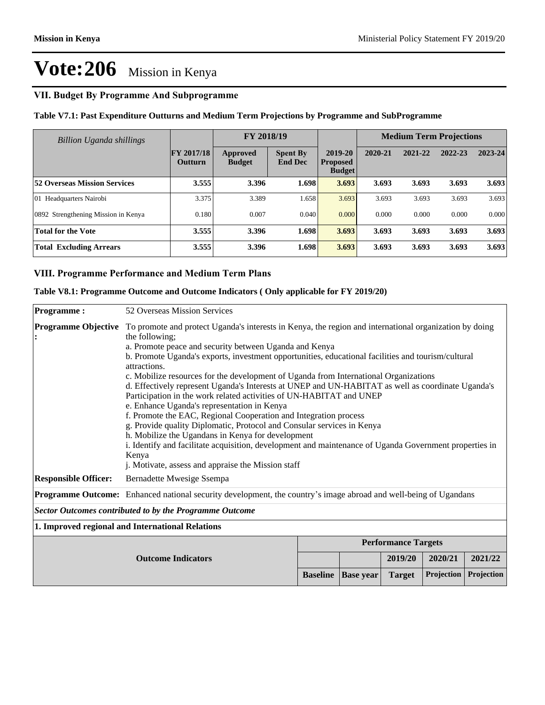# **VII. Budget By Programme And Subprogramme**

**Table V7.1: Past Expenditure Outturns and Medium Term Projections by Programme and SubProgramme**

| <b>Billion Uganda shillings</b>     | FY 2018/19                   |                                  |                                   |                                             | <b>Medium Term Projections</b> |         |         |         |
|-------------------------------------|------------------------------|----------------------------------|-----------------------------------|---------------------------------------------|--------------------------------|---------|---------|---------|
|                                     | FY 2017/18<br><b>Outturn</b> | <b>Approved</b><br><b>Budget</b> | <b>Spent By</b><br><b>End Dec</b> | 2019-20<br><b>Proposed</b><br><b>Budget</b> | 2020-21                        | 2021-22 | 2022-23 | 2023-24 |
| <b>52 Overseas Mission Services</b> | 3.555                        | 3.396                            | 1.698                             | 3.693                                       | 3.693                          | 3.693   | 3.693   | 3.693   |
| 01 Headquarters Nairobi             | 3.375                        | 3.389                            | 1.658                             | 3.693                                       | 3.693                          | 3.693   | 3.693   | 3.693   |
| 0892 Strengthening Mission in Kenya | 0.180                        | 0.007                            | 0.040                             | 0.000                                       | 0.000                          | 0.000   | 0.000   | 0.000   |
| <b>Total for the Vote</b>           | 3.555                        | 3.396                            | 1.698                             | 3.693                                       | 3.693                          | 3.693   | 3.693   | 3.693   |
| <b>Total Excluding Arrears</b>      | 3.555                        | 3.396                            | 1.698                             | 3.693                                       | 3.693                          | 3.693   | 3.693   | 3.693   |

### **VIII. Programme Performance and Medium Term Plans**

**Table V8.1: Programme Outcome and Outcome Indicators ( Only applicable for FY 2019/20)**

| <b>Programme:</b>                                                                                                | 52 Overseas Mission Services                                                                                                                                                                                                                                                                                                                                                                                                                                                                                                                                                                                                                                                                                                                                                                                                                                                                                                                                                                            |                 |                  |                            |            |            |
|------------------------------------------------------------------------------------------------------------------|---------------------------------------------------------------------------------------------------------------------------------------------------------------------------------------------------------------------------------------------------------------------------------------------------------------------------------------------------------------------------------------------------------------------------------------------------------------------------------------------------------------------------------------------------------------------------------------------------------------------------------------------------------------------------------------------------------------------------------------------------------------------------------------------------------------------------------------------------------------------------------------------------------------------------------------------------------------------------------------------------------|-----------------|------------------|----------------------------|------------|------------|
| <b>Programme Objective</b>                                                                                       | To promote and protect Uganda's interests in Kenya, the region and international organization by doing<br>the following;<br>a. Promote peace and security between Uganda and Kenya<br>b. Promote Uganda's exports, investment opportunities, educational facilities and tourism/cultural<br>attractions.<br>c. Mobilize resources for the development of Uganda from International Organizations<br>d. Effectively represent Uganda's Interests at UNEP and UN-HABITAT as well as coordinate Uganda's<br>Participation in the work related activities of UN-HABITAT and UNEP<br>e. Enhance Uganda's representation in Kenya<br>f. Promote the EAC, Regional Cooperation and Integration process<br>g. Provide quality Diplomatic, Protocol and Consular services in Kenya<br>h. Mobilize the Ugandans in Kenya for development<br>i. Identify and facilitate acquisition, development and maintenance of Uganda Government properties in<br>Kenya<br>j. Motivate, assess and appraise the Mission staff |                 |                  |                            |            |            |
| <b>Responsible Officer:</b>                                                                                      | Bernadette Mwesige Ssempa                                                                                                                                                                                                                                                                                                                                                                                                                                                                                                                                                                                                                                                                                                                                                                                                                                                                                                                                                                               |                 |                  |                            |            |            |
| Programme Outcome: Enhanced national security development, the country's image abroad and well-being of Ugandans |                                                                                                                                                                                                                                                                                                                                                                                                                                                                                                                                                                                                                                                                                                                                                                                                                                                                                                                                                                                                         |                 |                  |                            |            |            |
| <b>Sector Outcomes contributed to by the Programme Outcome</b>                                                   |                                                                                                                                                                                                                                                                                                                                                                                                                                                                                                                                                                                                                                                                                                                                                                                                                                                                                                                                                                                                         |                 |                  |                            |            |            |
| 1. Improved regional and International Relations                                                                 |                                                                                                                                                                                                                                                                                                                                                                                                                                                                                                                                                                                                                                                                                                                                                                                                                                                                                                                                                                                                         |                 |                  |                            |            |            |
|                                                                                                                  |                                                                                                                                                                                                                                                                                                                                                                                                                                                                                                                                                                                                                                                                                                                                                                                                                                                                                                                                                                                                         |                 |                  | <b>Performance Targets</b> |            |            |
|                                                                                                                  |                                                                                                                                                                                                                                                                                                                                                                                                                                                                                                                                                                                                                                                                                                                                                                                                                                                                                                                                                                                                         |                 | 2019/20          | 2020/21                    | 2021/22    |            |
|                                                                                                                  |                                                                                                                                                                                                                                                                                                                                                                                                                                                                                                                                                                                                                                                                                                                                                                                                                                                                                                                                                                                                         | <b>Baseline</b> | <b>Base year</b> | <b>Target</b>              | Projection | Projection |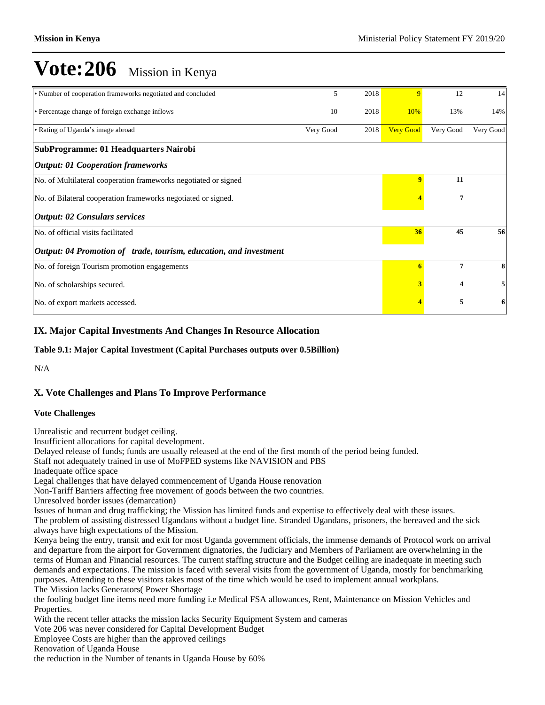| • Number of cooperation frameworks negotiated and concluded       | 5         | 2018 | $\overline{Q}$   | 12                      | 14        |
|-------------------------------------------------------------------|-----------|------|------------------|-------------------------|-----------|
| • Percentage change of foreign exchange inflows                   | 10        | 2018 | 10%              | 13%                     | 14%       |
| • Rating of Uganda's image abroad                                 | Very Good | 2018 | <b>Very Good</b> | Very Good               | Very Good |
| SubProgramme: 01 Headquarters Nairobi                             |           |      |                  |                         |           |
| <b>Output: 01 Cooperation frameworks</b>                          |           |      |                  |                         |           |
| No. of Multilateral cooperation frameworks negotiated or signed   |           |      | $\overline{9}$   | 11                      |           |
| No. of Bilateral cooperation frameworks negotiated or signed.     |           |      |                  | 7                       |           |
| <b>Output: 02 Consulars services</b>                              |           |      |                  |                         |           |
| No. of official visits facilitated                                |           |      | 36               | 45                      | 56        |
| Output: 04 Promotion of trade, tourism, education, and investment |           |      |                  |                         |           |
| No. of foreign Tourism promotion engagements                      |           |      | 6                | 7                       | 8         |
| No. of scholarships secured.                                      |           |      |                  | $\overline{\mathbf{4}}$ | 5         |
| No. of export markets accessed.                                   |           |      |                  | 5                       | 6         |

# **IX. Major Capital Investments And Changes In Resource Allocation**

### **Table 9.1: Major Capital Investment (Capital Purchases outputs over 0.5Billion)**

N/A

# **X. Vote Challenges and Plans To Improve Performance**

#### **Vote Challenges**

Unrealistic and recurrent budget ceiling.

Insufficient allocations for capital development.

Delayed release of funds; funds are usually released at the end of the first month of the period being funded.

Staff not adequately trained in use of MoFPED systems like NAVISION and PBS

Inadequate office space

Legal challenges that have delayed commencement of Uganda House renovation

Non-Tariff Barriers affecting free movement of goods between the two countries.

Unresolved border issues (demarcation)

Issues of human and drug trafficking; the Mission has limited funds and expertise to effectively deal with these issues.

The problem of assisting distressed Ugandans without a budget line. Stranded Ugandans, prisoners, the bereaved and the sick always have high expectations of the Mission.

Kenya being the entry, transit and exit for most Uganda government officials, the immense demands of Protocol work on arrival and departure from the airport for Government dignatories, the Judiciary and Members of Parliament are overwhelming in the terms of Human and Financial resources. The current staffing structure and the Budget ceiling are inadequate in meeting such demands and expectations. The mission is faced with several visits from the government of Uganda, mostly for benchmarking purposes. Attending to these visitors takes most of the time which would be used to implement annual workplans. The Mission lacks Generators( Power Shortage

the fooling budget line items need more funding i.e Medical FSA allowances, Rent, Maintenance on Mission Vehicles and Properties.

With the recent teller attacks the mission lacks Security Equipment System and cameras

Vote 206 was never considered for Capital Development Budget

Employee Costs are higher than the approved ceilings

Renovation of Uganda House

the reduction in the Number of tenants in Uganda House by 60%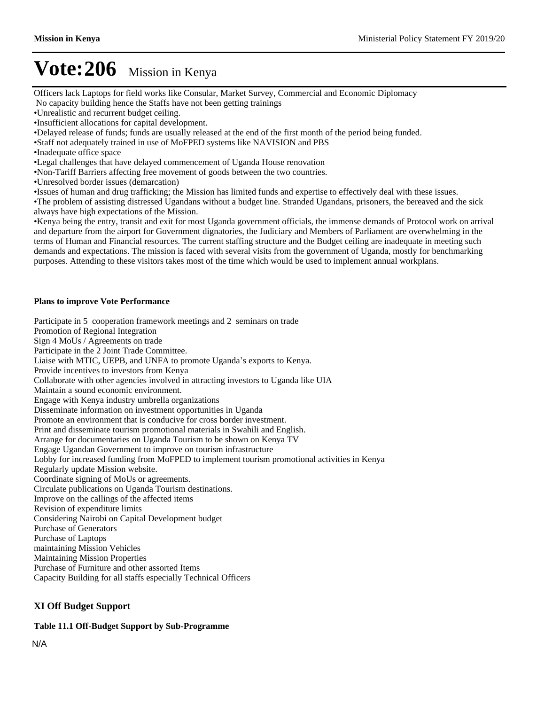Officers lack Laptops for field works like Consular, Market Survey, Commercial and Economic Diplomacy No capacity building hence the Staffs have not been getting trainings

- Unrealistic and recurrent budget ceiling.
- Insufficient allocations for capital development.

Delayed release of funds; funds are usually released at the end of the first month of the period being funded.

Staff not adequately trained in use of MoFPED systems like NAVISION and PBS

Inadequate office space

Legal challenges that have delayed commencement of Uganda House renovation

Non-Tariff Barriers affecting free movement of goods between the two countries.

Unresolved border issues (demarcation)

Issues of human and drug trafficking; the Mission has limited funds and expertise to effectively deal with these issues.

The problem of assisting distressed Ugandans without a budget line. Stranded Ugandans, prisoners, the bereaved and the sick always have high expectations of the Mission.

Kenya being the entry, transit and exit for most Uganda government officials, the immense demands of Protocol work on arrival and departure from the airport for Government dignatories, the Judiciary and Members of Parliament are overwhelming in the terms of Human and Financial resources. The current staffing structure and the Budget ceiling are inadequate in meeting such demands and expectations. The mission is faced with several visits from the government of Uganda, mostly for benchmarking purposes. Attending to these visitors takes most of the time which would be used to implement annual workplans.

#### **Plans to improve Vote Performance**

Participate in 5 cooperation framework meetings and 2 seminars on trade Promotion of Regional Integration Sign 4 MoUs / Agreements on trade Participate in the 2 Joint Trade Committee. Liaise with MTIC, UEPB, and UNFA to promote Uganda's exports to Kenya. Provide incentives to investors from Kenya Collaborate with other agencies involved in attracting investors to Uganda like UIA Maintain a sound economic environment. Engage with Kenya industry umbrella organizations Disseminate information on investment opportunities in Uganda Promote an environment that is conducive for cross border investment. Print and disseminate tourism promotional materials in Swahili and English. Arrange for documentaries on Uganda Tourism to be shown on Kenya TV Engage Ugandan Government to improve on tourism infrastructure Lobby for increased funding from MoFPED to implement tourism promotional activities in Kenya Regularly update Mission website. Coordinate signing of MoUs or agreements. Circulate publications on Uganda Tourism destinations. Improve on the callings of the affected items Revision of expenditure limits Considering Nairobi on Capital Development budget Purchase of Generators Purchase of Laptops maintaining Mission Vehicles Maintaining Mission Properties Purchase of Furniture and other assorted Items Capacity Building for all staffs especially Technical Officers

# **XI Off Budget Support**

#### **Table 11.1 Off-Budget Support by Sub-Programme**